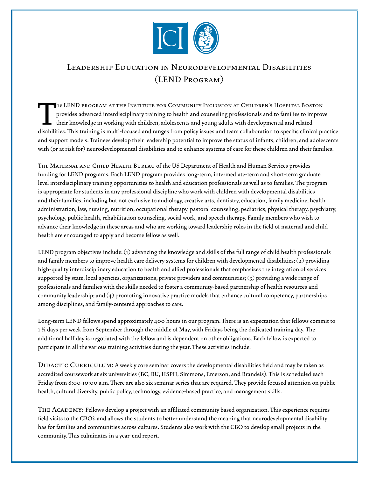

## Leadership Education in Neurodevelopmental Disabilities (LEND Program)

The LEND program at the Institute for Community Inclusion at Children's Hospital Boston<br>provides advanced interdisciplinary training to health and counseling professionals and to families to impro<br>their knowledge in workin provides advanced interdisciplinary training to health and counseling professionals and to families to improve their knowledge in working with children, adolescents and young adults with developmental and related disabilities. This training is multi-focused and ranges from policy issues and team collaboration to specific clinical practice and support models. Trainees develop their leadership potential to improve the status of infants, children, and adolescents with (or at risk for) neurodevelopmental disabilities and to enhance systems of care for these children and their families.

The Maternal and Child Health Bureau of the US Department of Health and Human Services provides funding for LEND programs. Each LEND program provides long-term, intermediate-term and short-term graduate level interdisciplinary training opportunities to health and education professionals as well as to families. The program is appropriate for students in any professional discipline who work with children with developmental disabilities and their families, including but not exclusive to audiology, creative arts, dentistry, education, family medicine, health administration, law, nursing, nutrition, occupational therapy, pastoral counseling, pediatrics, physical therapy, psychiatry, psychology, public health, rehabilitation counseling, social work, and speech therapy. Family members who wish to advance their knowledge in these areas and who are working toward leadership roles in the field of maternal and child health are encouraged to apply and become fellow as well.

LEND program objectives include: (1) advancing the knowledge and skills of the full range of child health professionals and family members to improve health care delivery systems for children with developmental disabilities; (2) providing high-quality interdisciplinary education to health and allied professionals that emphasizes the integration of services supported by state, local agencies, organizations, private providers and communities; (3) providing a wide range of professionals and families with the skills needed to foster a community-based partnership of health resources and community leadership; and (4) promoting innovative practice models that enhance cultural competency, partnerships among disciplines, and family-centered approaches to care.

Long-term LEND fellows spend approximately 400 hours in our program. There is an expectation that fellows commit to 1 ½ days per week from September through the middle of May, with Fridays being the dedicated training day. The additional half day is negotiated with the fellow and is dependent on other obligations. Each fellow is expected to participate in all the various training activities during the year. These activities include:

DIDACTIC CURRICULUM: A weekly core seminar covers the developmental disabilities field and may be taken as accredited coursework at six universities (BC, BU, HSPH, Simmons, Emerson, and Brandeis). This is scheduled each Friday from 8:00-10:00 a.m. There are also six seminar series that are required. They provide focused attention on public health, cultural diversity, public policy, technology, evidence-based practice, and management skills.

THE ACADEMY: Fellows develop a project with an affiliated community based organization. This experience requires field visits to the CBO's and allows the students to better understand the meaning that neurodevelopmental disability has for families and communities across cultures. Students also work with the CBO to develop small projects in the community. This culminates in a year-end report.